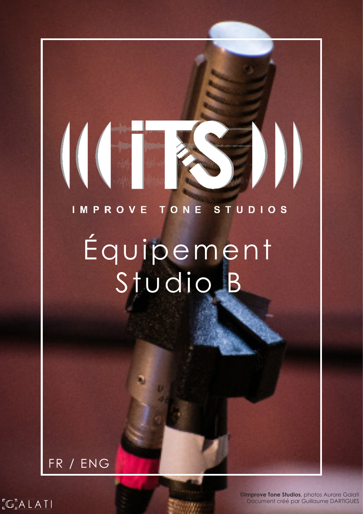# IMPROVE TONE STUDIOS

# Équipement Studio B

# FR / ENG

**1** Document créé par Guillaume DARTIGUES **©Improve Tone Studios**, photos Aurore Galati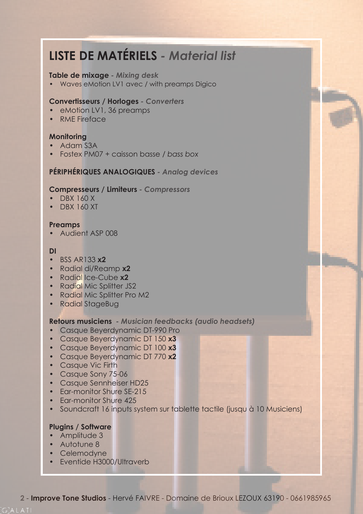# **LISTE DE MATÉRIELS** *- Material list*

#### **Table de mixage** *- Mixing desk*

• Waves eMotion LV1 avec / with preamps Digico

#### **Convertisseurs / Horloges** *- Converters*

- eMotion LV1, 36 preamps
- RME Fireface

# **Monitoring**

- Adam S3A
- Fostex PM07 + caisson basse */ bass box*

# **PÉRIPHÉRIQUES ANALOGIQUES** *- Analog devices*

#### **Compresseurs / Limiteurs** *- Compressors*

- DBX 160 X
- DBX 160 XT

#### **Preamps**

• Audient ASP 008

#### **DI**

- BSS AR133 **x2**
- Radial di/Reamp **x2**
- Radial Ice-Cube **x2**
- Radial Mic Splitter JS2
- Radial Mic Splitter Pro M2
- Radial StageBug

## **Retours musiciens** *- Musician feedbacks (audio headsets)*

- Casque Beyerdynamic DT-990 Pro
- Casque Beyerdynamic DT 150 **x3**
- Casque Beyerdynamic DT 100 **x3**
- Casque Beyerdynamic DT 770 **x2**
- Casque Vic Firth
- Casque Sony 75-06
- Casque Sennheiser HD25
- Far-monitor Shure SF-215
- Ear-monitor Shure 425
- Soundcraft 16 inputs system sur tablette tactile (jusqu à 10 Musiciens)

## **Plugins / Software**

- Amplitude 3
- Autotune 8
- Celemodyne
- Eventide H3000/Ultraverb

**2** - **Improve Tone Studios** - Hervé FAIVRE - Domaine de Brioux LEZOUX 63190 - 0661985965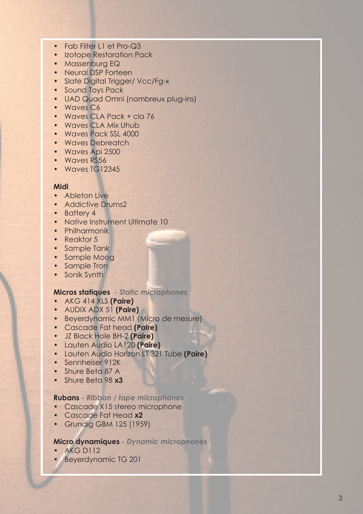- Fab Filter I 1 et Pro-Q3
- Izotope Restoration Pack
- Massenburg EQ
- Neural DSP Forteen
- Slate Digital Trigger/ Vcc/Fg-x
- Sound Toys Pack
- UAD Quad Omni (nombreux plug-ins)
- Waves C6
- Waves CLA Pack + cla 76
- Waves CLA Mix Uhub
- Waves Pack SSL 4000
- Waves Debreatch
- Waves Api 2500
- Waves RS56
- Waves TG12345

#### **Midi**

- Ableton Live
- Addictive Drums2
- Battery 4
- Native Instrument Ultimate 10
- Philharmonik
- Reaktor 5
- Sample Tank
- Sample Moog
- Sample Tron
- Sonik Synth

#### **Micros statiques** *- Static microphones*

- AKG 414 XLS **(Paire)**
- AUDIX ADX 51 **(Paire)**
- Beyerdynamic MM1 (Micro de mesure)
- Cascade Fat head **(Paire)**
- JZ Black Hole BH-2 **(Paire)**
- Lauten Audio LA120 **(Paire)**
- Lauten Audio Horizon LT 321 Tube **(Paire)**
- Sennheiser 912K
- Shure Beta 87 A
- Shure Beta 98 **x3**

#### **Rubans** *- Ribbon / tape microphones*

- Cascade X15 stereo microphone
- Cascade Fat Head **x2**
- Grundig GBM 125 (1959)

#### **Micro dynamiques** *- Dynamic microphones*

- AKG D112
- Beyerdynamic TG 201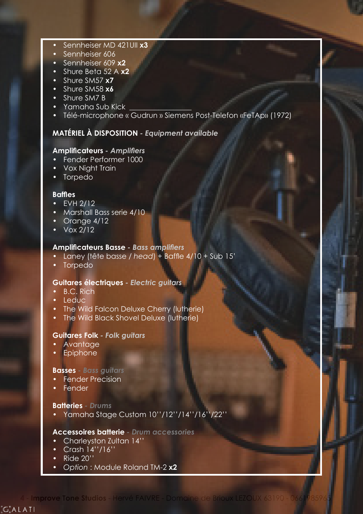- Sennheiser MD 421UII **x3**
- Sennheiser 606
- Sennheiser 609 **x2**
- Shure Beta 52 A **x2**
- Shure SM57 **x7**
- Shure SM58 **x6**
- Shure SM7 B
- Yamaha Sub Kick
- Télé-microphone « Gudrun » Siemens Post-Telefon «FeTAp» (1972)

## **MATÉRIEL À DISPOSITION** *- Equipment available*

# **Amplificateurs** *- Amplifiers*

- Fender Performer 1000
- Vox Night Train
- Torpedo

#### **Baffles**

- EVH 2/12
- Marshall Bass serie 4/10
- Orange 4/12
- $\sqrt{\frac{6}{2}}$

## **Amplificateurs Basse** *- Bass amplifiers*

- Laney (tête basse */ head*) + Baffle 4/10 + Sub 15'
- Torpedo

#### **Guitares électriques** *- Electric guitars*

- B.C. Rich
- **Leduc**
- The Wild Falcon Deluxe Cherry (lutherie)
- The Wild Black Shovel Deluxe (lutherie)

#### **Guitares Folk** *- Folk guitars*

- **Avantage**
- Epiphone

#### **Basses** *- Bass guitars*

- Fender Precision
- Fender

#### **Batteries** *- Drums*

• Yamaha Stage Custom 10''/12''/14''/16''/22''

#### **Accessoires batterie** *- Drum accessories*

- Charleyston Zultan 14''
- Crash 14''/16''
- Ride 20''
- *• Option* : Module Roland TM-2 **x2**

 $\sqrt[n]{\mathbb{C}}_{\mathbb{L}}^{\mathbb{T}}$ ALATI